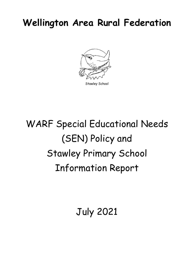## **Wellington Area Rural Federation**



Stawley School

# WARF Special Educational Needs (SEN) Policy and Stawley Primary School Information Report

July 2021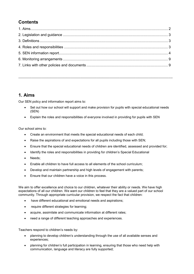## **Contents**

**…………………………………………………………………………………………………………………………….**

## **1. Aims**

Our SEN policy and information report aims to:

- Set out how our school will support and make provision for pupils with special educational needs (SEN)
- Explain the roles and responsibilities of everyone involved in providing for pupils with SEN

Our school aims to:

- Create an environment that meets the special educational needs of each child;
- Raise the aspirations of and expectations for all pupils including those with SEN;
- Ensure that the special educational needs of children are identified, assessed and provided for;
- Identify the roles and responsibilities in providing for children's Special Educational
- Needs;
- Enable all children to have full access to all elements of the school curriculum;
- Develop and maintain partnership and high levels of engagement with parents;
- Ensure that our children have a voice in this process.

We aim to offer excellence and choice to our children, whatever their ability or needs. We have high expectations of all our children. We want our children to feel that they are a valued part of our school community. Through appropriate curricular provision, we respect the fact that children:

- have different educational and emotional needs and aspirations;
- require different strategies for learning;
- acquire, assimilate and communicate information at different rates;
- need a range of different teaching approaches and experiences.

Teachers respond to children's needs by:

- planning to develop children's understanding through the use of all available senses and experiences;
- planning for children's full participation in learning, ensuring that those who need help with communication, language and literacy are fully supported;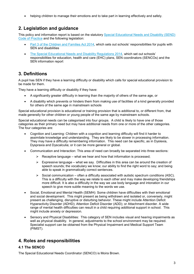• helping children to manage their emotions and to take part in learning effectively and safely.

## **2. Legislation and guidance**

This policy and information report is based on the statutory [Special Educational Needs and Disability \(SEND\)](https://www.gov.uk/government/uploads/system/uploads/attachment_data/file/398815/SEND_Code_of_Practice_January_2015.pdf)  [Code of Practice](https://www.gov.uk/government/uploads/system/uploads/attachment_data/file/398815/SEND_Code_of_Practice_January_2015.pdf) and the following legislation:

- [Part 3 of the Children and Families Act 2014,](http://www.legislation.gov.uk/ukpga/2014/6/part/3) which sets out schools' responsibilities for pupils with SEN and disabilities
- [The Special Educational Needs and Disability Regulations 2014,](http://www.legislation.gov.uk/uksi/2014/1530/contents/made) which set out schools' responsibilities for education, health and care (EHC) plans, SEN coordinators (SENCOs) and the SEN information report

## **3. Definitions**

A pupil has SEN if they have a learning difficulty or disability which calls for special educational provision to be made for them.

They have a learning difficulty or disability if they have:

- A significantly greater difficulty in learning than the majority of others of the same age, or
- A disability which prevents or hinders them from making use of facilities of a kind generally provided for others of the same age in mainstream schools

Special educational provision is educational or training provision that is additional to, or different from, that made generally for other children or young people of the same age by mainstream schools.

Special educational needs can be categorised into four groups. A child is likely to have one of those categories as their primary need but may have additional needs from one or more of the other categories. The four categories are:

- Cognition and Learning: Children with a cognition and learning difficulty will find it harder to assimilate knowledge and understanding. They are likely to be slower in processing information. They may have a difficulty remembering information. This need can be specific, as in Dyslexia, Dyspraxia and Dyscalculia; or it can be more general or global.
- Communication and Interaction: This area of need can broadly be separated into three sections:
	- $\triangleright$  Receptive language what we hear and how that information is processed;
	- $\triangleright$  Expressive language what we say. Difficulties in this area can be around the creation of speech sounds; the vocabulary we know; our ability to find the right word to say; and being able to speak in grammatically correct sentences.
	- $\triangleright$  Social communication often a difficulty associated with autistic spectrum conditions (ASC). This is a difficulty with the way we relate to each other and may make developing friendships more difficult. It is also a difficulty in the way we use body language and intonation in our speech to give more subtle meaning to the words we use.
- Social, Emotional and Mental Health (SEMH): Some children have difficulties with their emotional and social development. This might present as being withdrawn and isolated or, conversely, might present as challenging, disruptive or disturbing behavior. These might include Attention Deficit Hyperactivity Disorder (ADHD); Attention Deficit Disorder (ADD); or Attachment disorder. A wide range of mental health difficulties can result in a child requiring additional support in school. This might include anxiety or depression.
- Sensory and Physical Disabilities: This category of SEN includes visual and hearing impairments as well as physical disability. In general, adjustments to the school environment may be required. Specialist support can be obtained from the Physical Impairment and Medical Support Team (PIMST).

## **4. Roles and responsibilities**

#### **4.1 The SENCO**

The Special Educational Needs Coordinator (SENCO) is Moira Brown.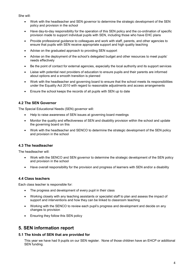She will:

- Work with the headteacher and SEN governor to determine the strategic development of the SEN policy and provision in the school
- Have day-to-day responsibility for the operation of this SEN policy and the co-ordination of specific provision made to support individual pupils with SEN, including those who have EHC plans
- Provide professional guidance to colleagues and work with staff, parents, and other agencies to ensure that pupils with SEN receive appropriate support and high quality teaching
- Advise on the graduated approach to providing SEN support
- Advise on the deployment of the school's delegated budget and other resources to meet pupils' needs effectively
- Be the point of contact for external agencies, especially the local authority and its support services
- Liaise with potential next providers of education to ensure pupils and their parents are informed about options and a smooth transition is planned
- Work with the headteacher and governing board to ensure that the school meets its responsibilities under the Equality Act 2010 with regard to reasonable adjustments and access arrangements
- Ensure the school keeps the records of all pupils with SEN up to date

#### **4.2 The SEN Governor**

The Special Educational Needs (SEN) governor will:

- Help to raise awareness of SEN issues at governing board meetings
- Monitor the quality and effectiveness of SEN and disability provision within the school and update the governing board on this
- Work with the headteacher and SENCO to determine the strategic development of the SEN policy and provision in the school

#### **4.3 The headteacher**

The headteacher will:

- Work with the SENCO and SEN governor to determine the strategic development of the SEN policy and provision in the school
- Have overall responsibility for the provision and progress of learners with SEN and/or a disability

#### **4.4 Class teachers**

Each class teacher is responsible for:

- The progress and development of every pupil in their class
- Working closely with any teaching assistants or specialist staff to plan and assess the impact of support and interventions and how they can be linked to classroom teaching
- Working with the SENCO to review each pupil's progress and development and decide on any changes to provision
- Ensuring they follow this SEN policy

## **5. SEN information report**

#### **5.1 The kinds of SEN that are provided for**

This year we have had 9 pupils on our SEN register. None of those children have an EHCP or additional SEN funding.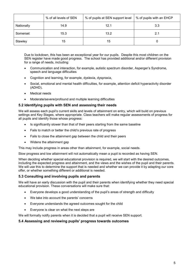|            | % of all levels of SEN | % of pupils at SEN support level | % of pupils with an EHCP |
|------------|------------------------|----------------------------------|--------------------------|
| Nationally | 14.9                   | 12.1                             | 3.3                      |
| Somerset   | 15.3                   | 13.2                             | 2.1                      |
| Stawley    | 15                     | 15                               |                          |

Due to lockdown, this has been an exceptional year for our pupils. Despite this most children on the SEN register have made good progress. The school has provided additional and/or different provision for a range of needs, including:

- Communication and interaction, for example, autistic spectrum disorder, Asperger's Syndrome, speech and language difficulties
- Cognition and learning, for example, dyslexia, dyspraxia,
- Social, emotional and mental health difficulties, for example, attention deficit hyperactivity disorder (ADHD),
- Medical needs
- Moderate/severe/profound and multiple learning difficulties

#### **5.2 Identifying pupils with SEN and assessing their needs**

We will assess each pupil's current skills and levels of attainment on entry, which will build on previous settings and Key Stages, where appropriate. Class teachers will make regular assessments of progress for all pupils and identify those whose progress:

- Is significantly slower than that of their peers starting from the same baseline
- Fails to match or better the child's previous rate of progress
- Fails to close the attainment gap between the child and their peers
- Widens the attainment gap

This may include progress in areas other than attainment, for example, social needs.

Slow progress and low attainment will not automatically mean a pupil is recorded as having SEN.

When deciding whether special educational provision is required, we will start with the desired outcomes, including the expected progress and attainment, and the views and the wishes of the pupil and their parents. We will use this to determine the support that is needed and whether we can provide it by adapting our core offer, or whether something different or additional is needed.

#### **5.3 Consulting and involving pupils and parents**

We will have an early discussion with the pupil and their parents when identifying whether they need special educational provision. These conversations will make sure that:

- Everyone develops a good understanding of the pupil's areas of strength and difficulty
- We take into account the parents' concerns
- Everyone understands the agreed outcomes sought for the child
- Everyone is clear on what the next steps are

We will formally notify parents when it is decided that a pupil will receive SEN support.

#### **5.4 Assessing and reviewing pupils' progress towards outcomes**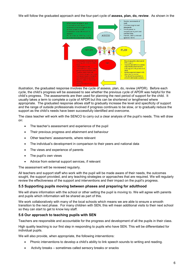We will follow the graduated approach and the four-part cycle of **assess, plan, do, review**. As shown in the



illustration, the graduated response involves the cycle of assess, plan, do, review (APDR). Before each cycle, the child's progress will be assessed to see whether the previous cycle of APDR was helpful for the child's progress. The assessments are then used for planning the next period of support for the child. It usually takes a term to complete a cycle of APDR but this can be shortened or lengthened where appropriate. The graduated response allows staff to gradually increase the level and specificity of support and the range of outside professionals involved if progress continues to be slow, or to gradually reduce the support as the child's needs have been successfully identified and overcome.

The class teacher will work with the SENCO to carry out a clear analysis of the pupil's needs. This will draw on:

- The teacher's assessment and experience of the pupil
- Their previous progress and attainment and behaviour
- Other teachers' assessments, where relevant
- The individual's development in comparison to their peers and national data
- The views and experience of parents
- The pupil's own views
- Advice from external support services, if relevant

The assessment will be reviewed regularly.

All teachers and support staff who work with the pupil will be made aware of their needs, the outcomes sought, the support provided, and any teaching strategies or approaches that are required. We will regularly review the effectiveness of the support and interventions and their impact on the pupil's progress.

#### **5.5 Supporting pupils moving between phases and preparing for adulthood**

We will share information with the school or other setting the pupil is moving to. We will agree with parents and pupils which information will be shared as part of this.

We work collaboratively with many of the local schools which means we are able to ensure a smooth transition to the next phase. For many children with SEN, this will mean additional visits to their next school so they can start to get to know key staff.

#### **5.6 Our approach to teaching pupils with SEN**

Teachers are responsible and accountable for the progress and development of all the pupils in their class.

High quality teaching is our first step in responding to pupils who have SEN. This will be differentiated for individual pupils.

We will also provide, when appropriate, the following interventions:

- Phonic interventions to develop a child's ability to link speech sounds to writing and reading.
- Activity breaks sometimes called sensory breaks or snacks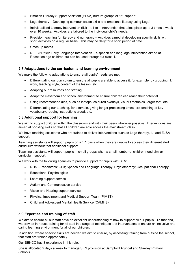- Emotion Literacy Support Assistant (ELSA) nurture groups or 1:1 support
- Lego therapy Developing communication skills and emotional literacy using Lego!
- Individualised Literacy Intervention (ILI) a 1 to 1 intervention that takes place up to 3 times a week over 10 weeks. Activities are tailored to the individual child's needs.
- Precision teaching for literacy and numeracy Activities aimed at developing specific skills with short activities on a regular basis. This may be daily for a short period of time.
- Catch up maths
- NELI (Nuffield Early Language Intervention a speech and language intervention aimed at Reception age children but can be used throughout class 1.

#### **5.7 Adaptations to the curriculum and learning environment**

We make the following adaptations to ensure all pupils' needs are met:

- Differentiating our curriculum to ensure all pupils are able to access it, for example, by grouping, 1:1 work, teaching style, content of the lesson, etc.
- Adapting our resources and staffing
- Adapt the classroom and school environment to ensure children can reach their potential
- Using recommended aids, such as laptops, coloured overlays, visual timetables, larger font, etc.
- Differentiating our teaching, for example, giving longer processing times, pre-teaching of key vocabulary, reading instructions aloud, etc.

#### **5.8 Additional support for learning**

We aim to support children within the classroom and with their peers wherever possible. Interventions are aimed at boosting skills so that all children are able access the mainstream class.

We have teaching assistants who are trained to deliver interventions such as Lego therapy, ILI and ELSA support.

Teaching assistants will support pupils on a 1:1 basis when they are unable to access their differentiated curriculum without that additional support.

Teaching assistants will support pupils in small groups when a small number of children need similar curriculum support.

We work with the following agencies to provide support for pupils with SEN:

- NHS Paediatrics; GPs; Speech and Language Therapy; Physiotherapy; Occupational Therapy
- Educational Psychologists
- Learning support service
- Autism and Communication service
- Vision and Hearing support service
- Physical Impairment and Medical Support Team (PIMST)
- Child and Adolescent Mental Health Service (CAMHS)

#### **5.9 Expertise and training of staff**

We aim to ensure all our staff have an excellent understanding of how to support all our pupils. To that end, we provide in-house training for all staff in a range of techniques and interventions to ensure an inclusive and caring learning environment for all of our children.

In addition, where specific skills are needed we aim to ensure, by accessing training from outside the school, that staff are trained appropriately.

Our SENCO has 8 experience in this role.

She is allocated 2 days a week to manage SEN provision at Sampford Arundel and Stawley Primary Schools.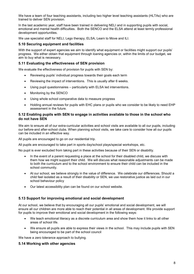We have a team of four teaching assistants, including two higher level teaching assistants (HLTAs) who are trained to deliver SEN provision.

In the last academic year, staff have been trained in delivering NELI and in supporting pupils with social, emotional and mental health difficulties. Both the SENCO and the ELSA attend at least termly professional development opportunities.

We use specialist staff for NELI, Lego therapy, ELSA, Learn to Move and ILI.

#### **5.10 Securing equipment and facilities**

With the support of expert agencies we aim to identify what equipment or facilities might support our pupils' progress. We either obtain that equipment through loaning agencies or, within the limits of our budget, we aim to buy what is necessary.

#### **5.11 Evaluating the effectiveness of SEN provision**

We evaluate the effectiveness of provision for pupils with SEN by:

- Reviewing pupils' individual progress towards their goals each term
- Reviewing the impact of interventions. This is usually after 6 weeks.
- Using pupil questionnaires particularly with ELSA led interventions.
- Monitoring by the SENCO
- Using whole school comparative data to measure progress
- Holding annual reviews for pupils with EHC plans or pupils who we consider to be likely to need EHP assessment in the future.

#### **5.12 Enabling pupils with SEN to engage in activities available to those in the school who do not have SEN**

We aim to ensure all of our extra-curricular activities and school visits are available to all our pupils, including our before-and after-school clubs. When planning school visits, we take care to consider how all our pupils can be included in an effective way.

All pupils are encouraged to go on our residential trip.

All pupils are encouraged to take part in sports day/school plays/special workshops, etc.

No pupil is ever excluded from taking part in these activities because of their SEN or disability.

- In the event of a parent requesting a place at the school for their disabled child, we discuss with them how we might support their child. We will discuss what reasonable adjustments can be made to both the curriculum and to the school environment to ensure their child can be included in the school community.
- At our school, we believe strongly in the value of difference. We celebrate our differences. Should a child feel isolated as a result of their disability or SEN, we use restorative justice as laid out in our school behaviour policy
- Our latest accessibility plan can be found on our school website.

#### **5.13 Support for improving emotional and social development**

At our school, we believe that by encouraging all our pupils' emotional and social development, we will ensure all our children are more able to reach their potential in all areas of development. We provide support for pupils to improve their emotional and social development in the following ways:

- We teach emotional literacy as a discrete curriculum area and show them how it links to all other areas of school life.
- We ensure all pupils are able to express their views in the school. This may include pupils with SEN being encouraged to be part of the school council

We have a zero tolerance approach to bullying.

#### **5.14 Working with other agencies**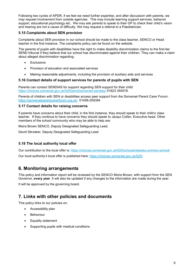Following two cycles of APDR, if we feel we need further expertise, and after discussion with parents, we may request involvement from outside agencies. This may include learning support services, behavior support, educational psychology etc. We may ask parents to speak to their GP to check their child's vision and hearing are not a cause of difficulty. We may request a referral to a Paediatrician.

#### **5.15 Complaints about SEN provision**

Complaints about SEN provision in our school should be made to the class teacher, SENCO or Head teacher in the first instance. The complaints policy can be found on the website.

The parents of pupils with disabilities have the right to make disability discrimination claims to the first-tier SEND tribunal if they believe that our school has discriminated against their children. They can make a claim about alleged discrimination regarding:

- Exclusions
- Provision of education and associated services
- Making reasonable adjustments, including the provision of auxiliary aids and services

#### **5.16 Contact details of support services for parents of pupils with SEN**

Parents can contact SENDIAS for support regarding SEN support for their child: <https://choices.somerset.gov.uk/025/send/somerset-sendias/> 01823 355578.

Parents of children with SEN or disabilities access peer support from the Somerset Parent Carer Forum: <https://somersetparentcarerforum.org.uk/> 01458-259384

#### **5.17 Contact details for raising concerns**

If parents have concerns about their child, in the first instance, they should speak to their child's class teacher. If they continue to have concerns they should speak to Jacqui Collier, Executive head. Other members of the school community who may be able to help are:

Moira Brown SENCO, Deputy Designated Safeguarding Lead;

David Stirzaker, Deputy Designated Safeguarding Lead

#### **5.18 The local authority local offer**

Our contribution to the local offer is: <https://choices.somerset.gov.uk/025/schools/stawley-primary-school/> Our local authority's local offer is published here:<https://choices.somerset.gov.uk/025/>

## **6. Monitoring arrangements**

This policy and information report will be reviewed by the SENCO Moira Brown, with support from the SEN Governor, **every year**. It will also be updated if any changes to the information are made during the year.

It will be approved by the governing board.

### **7. Links with other policies and documents**

This policy links to our policies on:

- Accessibility plan
- Behaviour
- Equality statement
- Supporting pupils with medical conditions